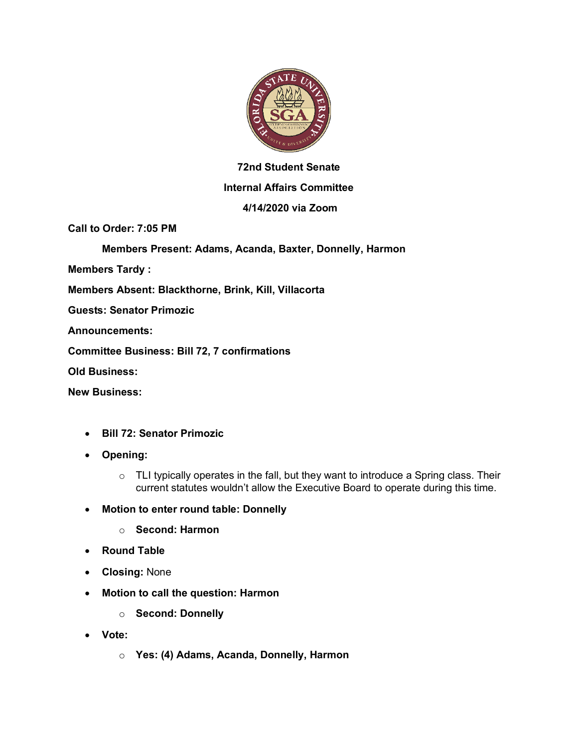

# **72nd Student Senate Internal Affairs Committee**

# **4/14/2020 via Zoom**

**Call to Order: 7:05 PM**

**Members Present: Adams, Acanda, Baxter, Donnelly, Harmon**

**Members Tardy :**

**Members Absent: Blackthorne, Brink, Kill, Villacorta**

**Guests: Senator Primozic**

**Announcements:**

**Committee Business: Bill 72, 7 confirmations**

**Old Business:**

**New Business:**

- **Bill 72: Senator Primozic**
- **Opening:**
	- $\circ$  TLI typically operates in the fall, but they want to introduce a Spring class. Their current statutes wouldn't allow the Executive Board to operate during this time.
- **Motion to enter round table: Donnelly**
	- o **Second: Harmon**
- **Round Table**
- **Closing:** None
- **Motion to call the question: Harmon**
	- o **Second: Donnelly**
- **Vote:**
	- o **Yes: (4) Adams, Acanda, Donnelly, Harmon**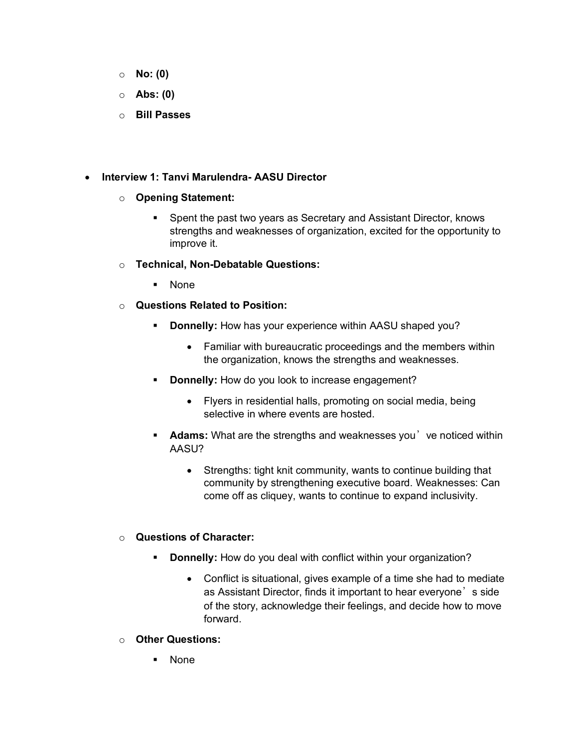- o **No: (0)**
- o **Abs: (0)**
- o **Bill Passes**

## • **Interview 1: Tanvi Marulendra- AASU Director**

## o **Opening Statement:**

■ Spent the past two years as Secretary and Assistant Director, knows strengths and weaknesses of organization, excited for the opportunity to improve it.

#### o **Technical, Non-Debatable Questions:**

- § None
- o **Questions Related to Position:**
	- **Donnelly:** How has your experience within AASU shaped you?
		- Familiar with bureaucratic proceedings and the members within the organization, knows the strengths and weaknesses.
	- **Donnelly:** How do you look to increase engagement?
		- Flyers in residential halls, promoting on social media, being selective in where events are hosted.
	- **Adams:** What are the strengths and weaknesses you've noticed within AASU?
		- Strengths: tight knit community, wants to continue building that community by strengthening executive board. Weaknesses: Can come off as cliquey, wants to continue to expand inclusivity.

# o **Questions of Character:**

- **Donnelly:** How do you deal with conflict within your organization?
	- Conflict is situational, gives example of a time she had to mediate as Assistant Director, finds it important to hear everyone's side of the story, acknowledge their feelings, and decide how to move forward.
- o **Other Questions:**
	- § None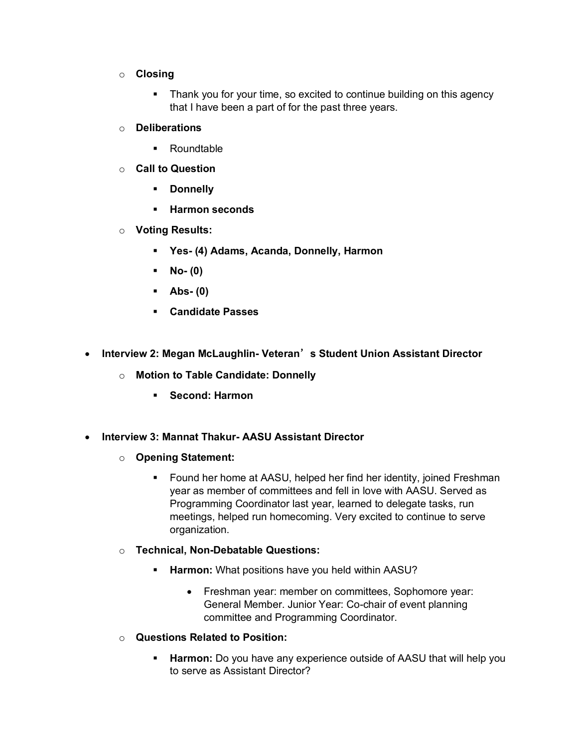- o **Closing**
	- Thank you for your time, so excited to continue building on this agency that I have been a part of for the past three years.
- o **Deliberations**
	- Roundtable
- o **Call to Question**
	- § **Donnelly**
	- § **Harmon seconds**
- o **Voting Results:**
	- § **Yes- (4) Adams, Acanda, Donnelly, Harmon**
	- § **No- (0)**
	- § **Abs- (0)**
	- § **Candidate Passes**
- **Interview 2: Megan McLaughlin- Veteran**'**s Student Union Assistant Director**
	- o **Motion to Table Candidate: Donnelly**
		- § **Second: Harmon**
- **Interview 3: Mannat Thakur- AASU Assistant Director**
	- o **Opening Statement:**
		- Found her home at AASU, helped her find her identity, joined Freshman year as member of committees and fell in love with AASU. Served as Programming Coordinator last year, learned to delegate tasks, run meetings, helped run homecoming. Very excited to continue to serve organization.
	- o **Technical, Non-Debatable Questions:**
		- § **Harmon:** What positions have you held within AASU?
			- Freshman year: member on committees, Sophomore year: General Member. Junior Year: Co-chair of event planning committee and Programming Coordinator.
	- o **Questions Related to Position:**
		- **Harmon:** Do you have any experience outside of AASU that will help you to serve as Assistant Director?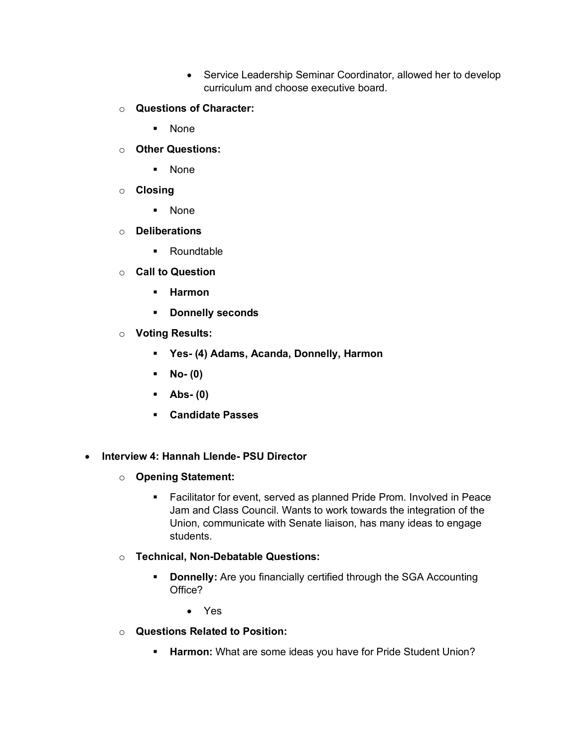- Service Leadership Seminar Coordinator, allowed her to develop curriculum and choose executive board.
- o **Questions of Character:**
	- § None
- o **Other Questions:**
	- § None
- o **Closing**
	- § None
- o **Deliberations**
	- § Roundtable
- o **Call to Question**
	- § **Harmon**
	- § **Donnelly seconds**
- o **Voting Results:**
	- § **Yes- (4) Adams, Acanda, Donnelly, Harmon**
	- § **No- (0)**
	- § **Abs- (0)**
	- § **Candidate Passes**
- **Interview 4: Hannah Llende- PSU Director**
	- o **Opening Statement:**
		- Facilitator for event, served as planned Pride Prom. Involved in Peace Jam and Class Council. Wants to work towards the integration of the Union, communicate with Senate liaison, has many ideas to engage students.
	- o **Technical, Non-Debatable Questions:**
		- **Donnelly:** Are you financially certified through the SGA Accounting Office?
			- Yes
	- o **Questions Related to Position:**
		- **EXTERGH** Harmon: What are some ideas you have for Pride Student Union?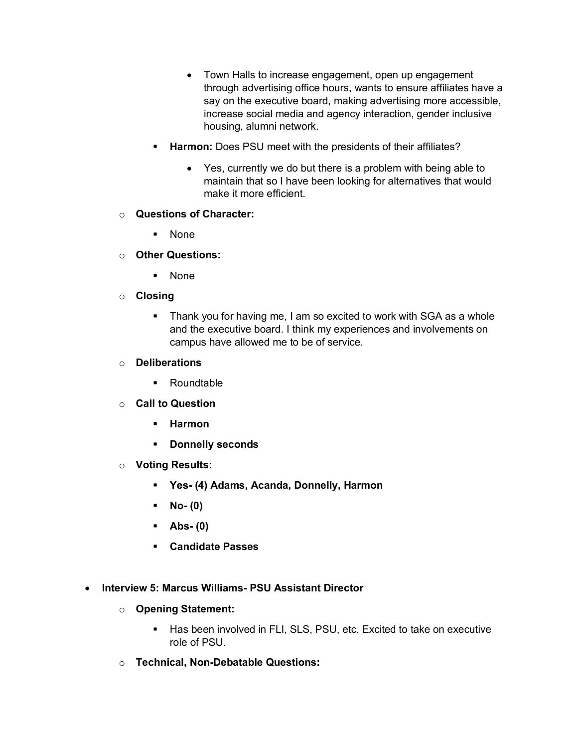- Town Halls to increase engagement, open up engagement through advertising office hours, wants to ensure affiliates have a say on the executive board, making advertising more accessible, increase social media and agency interaction, gender inclusive housing, alumni network.
- **Harmon:** Does PSU meet with the presidents of their affiliates?
	- Yes, currently we do but there is a problem with being able to maintain that so I have been looking for alternatives that would make it more efficient.

# o **Questions of Character:**

- § None
- o **Other Questions:**
	- § None
- o **Closing**
	- Thank you for having me, I am so excited to work with SGA as a whole and the executive board. I think my experiences and involvements on campus have allowed me to be of service.
- o **Deliberations**
	- Roundtable
- o **Call to Question**
	- § **Harmon**
	- § **Donnelly seconds**
- o **Voting Results:**
	- § **Yes- (4) Adams, Acanda, Donnelly, Harmon**
	- § **No- (0)**
	- § **Abs- (0)**
	- § **Candidate Passes**
- **Interview 5: Marcus Williams- PSU Assistant Director**
	- o **Opening Statement:**
		- Has been involved in FLI, SLS, PSU, etc. Excited to take on executive role of PSU.
	- o **Technical, Non-Debatable Questions:**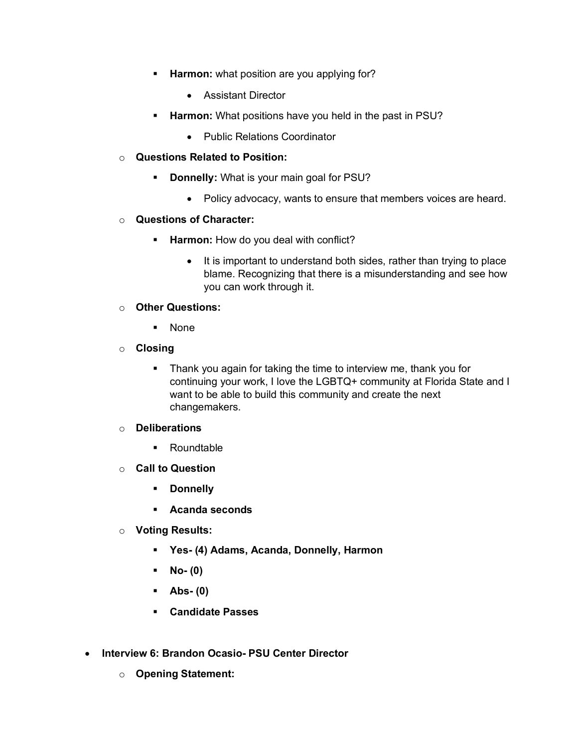- **Harmon:** what position are you applying for?
	- Assistant Director
- **Harmon:** What positions have you held in the past in PSU?
	- Public Relations Coordinator
- o **Questions Related to Position:**
	- **Donnelly:** What is your main goal for PSU?
		- Policy advocacy, wants to ensure that members voices are heard.

#### o **Questions of Character:**

- **E** Harmon: How do you deal with conflict?
	- It is important to understand both sides, rather than trying to place blame. Recognizing that there is a misunderstanding and see how you can work through it.

## o **Other Questions:**

- § None
- o **Closing**
	- Thank you again for taking the time to interview me, thank you for continuing your work, I love the LGBTQ+ community at Florida State and I want to be able to build this community and create the next changemakers.

## o **Deliberations**

- Roundtable
- o **Call to Question**
	- § **Donnelly**
	- § **Acanda seconds**
- o **Voting Results:**
	- § **Yes- (4) Adams, Acanda, Donnelly, Harmon**
	- § **No- (0)**
	- § **Abs- (0)**
	- § **Candidate Passes**
- **Interview 6: Brandon Ocasio- PSU Center Director**
	- o **Opening Statement:**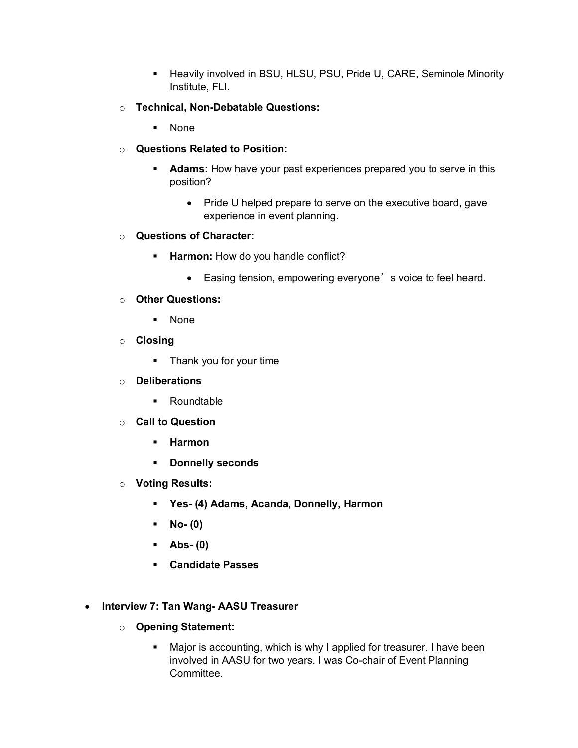- Heavily involved in BSU, HLSU, PSU, Pride U, CARE, Seminole Minority Institute, FLI.
- o **Technical, Non-Debatable Questions:**
	- § None
- o **Questions Related to Position:**
	- **Adams:** How have your past experiences prepared you to serve in this position?
		- Pride U helped prepare to serve on the executive board, gave experience in event planning.
- o **Questions of Character:**
	- **EXTERM** Harmon: How do you handle conflict?
		- Easing tension, empowering everyone's voice to feel heard.
- o **Other Questions:**
	- § None
- o **Closing**
	- Thank you for your time
- o **Deliberations**
	- Roundtable
- o **Call to Question**
	- § **Harmon**
	- § **Donnelly seconds**
- o **Voting Results:**
	- § **Yes- (4) Adams, Acanda, Donnelly, Harmon**
	- § **No- (0)**
	- § **Abs- (0)**
	- § **Candidate Passes**
- **Interview 7: Tan Wang- AASU Treasurer**
	- o **Opening Statement:**
		- Major is accounting, which is why I applied for treasurer. I have been involved in AASU for two years. I was Co-chair of Event Planning Committee.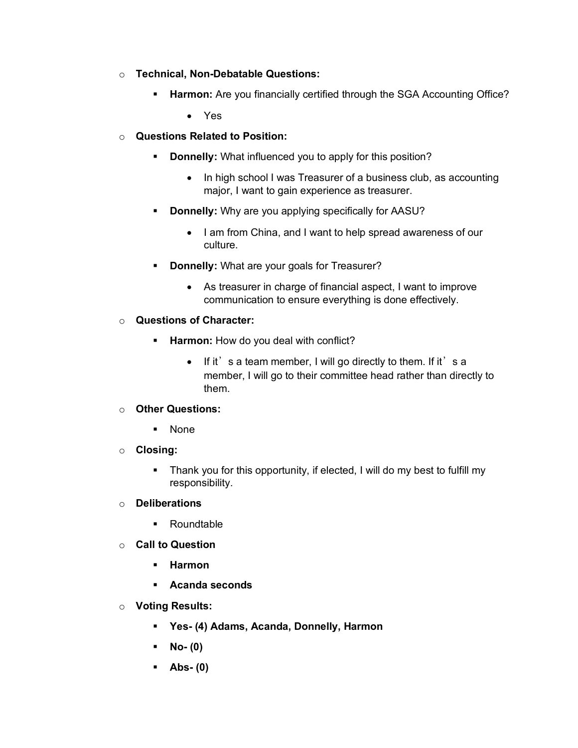- o **Technical, Non-Debatable Questions:**
	- **EXTER Harmon:** Are you financially certified through the SGA Accounting Office?
		- Yes
- o **Questions Related to Position:**
	- **Donnelly:** What influenced you to apply for this position?
		- In high school I was Treasurer of a business club, as accounting major, I want to gain experience as treasurer.
	- § **Donnelly:** Why are you applying specifically for AASU?
		- I am from China, and I want to help spread awareness of our culture.
	- § **Donnelly:** What are your goals for Treasurer?
		- As treasurer in charge of financial aspect, I want to improve communication to ensure everything is done effectively.
- o **Questions of Character:**
	- **EXTERM** How do you deal with conflict?
		- $\bullet$  If it's a team member, I will go directly to them. If it's a member, I will go to their committee head rather than directly to them.
- o **Other Questions:**
	- § None
- o **Closing:**
	- Thank you for this opportunity, if elected, I will do my best to fulfill my responsibility.
- o **Deliberations**
	- Roundtable
- o **Call to Question**
	- § **Harmon**
	- § **Acanda seconds**
- o **Voting Results:**
	- § **Yes- (4) Adams, Acanda, Donnelly, Harmon**
	- § **No- (0)**
	- § **Abs- (0)**